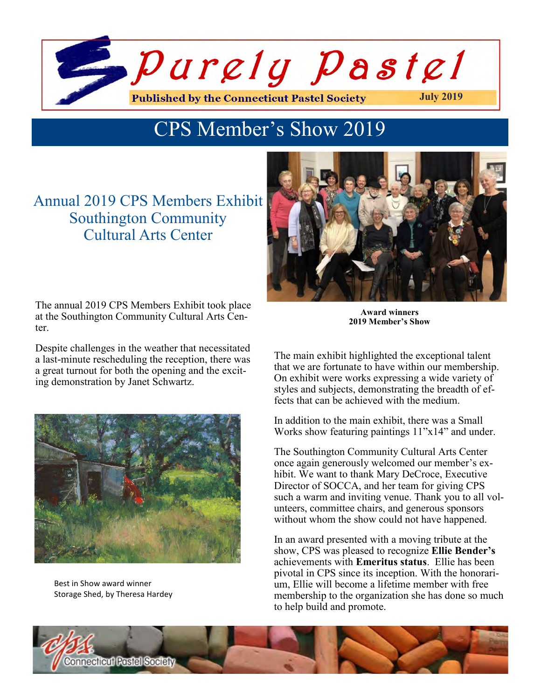

# CPS Member's Show 2019

## Annual 2019 CPS Members Exhibit Southington Community Cultural Arts Center

The annual 2019 CPS Members Exhibit took place at the Southington Community Cultural Arts Center.

Despite challenges in the weather that necessitated a last-minute rescheduling the reception, there was a great turnout for both the opening and the exciting demonstration by Janet Schwartz.



Best in Show award winner Storage Shed, by Theresa Hardey



**Award winners 2019 Member's Show**

The main exhibit highlighted the exceptional talent that we are fortunate to have within our membership. On exhibit were works expressing a wide variety of styles and subjects, demonstrating the breadth of effects that can be achieved with the medium.

In addition to the main exhibit, there was a Small Works show featuring paintings 11"x14" and under.

The Southington Community Cultural Arts Center once again generously welcomed our member's exhibit. We want to thank Mary DeCroce, Executive Director of SOCCA, and her team for giving CPS such a warm and inviting venue. Thank you to all volunteers, committee chairs, and generous sponsors without whom the show could not have happened.

In an award presented with a moving tribute at the show, CPS was pleased to recognize **Ellie Bender's**  achievements with **Emeritus status**. Ellie has been pivotal in CPS since its inception. With the honorarium, Ellie will become a lifetime member with free membership to the organization she has done so much to help build and promote.

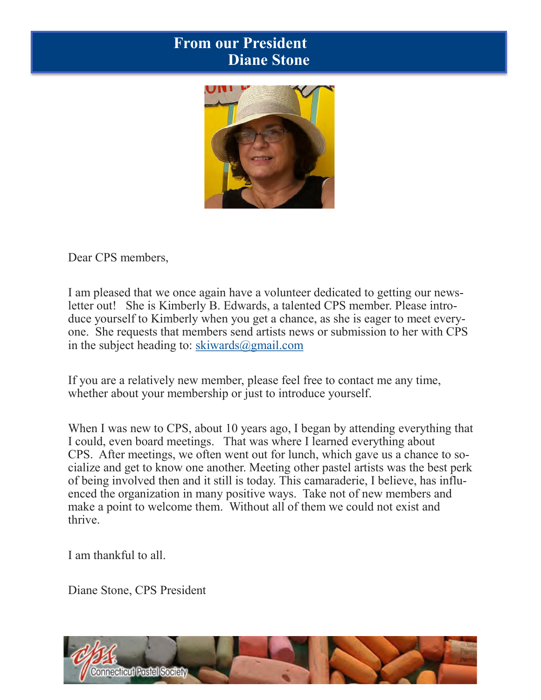## **Upcoming CPS Workshops for 2020 From our President Diane Stone**



Dear CPS members,

I am pleased that we once again have a volunteer dedicated to getting our newsletter out! She is Kimberly B. Edwards, a talented CPS member. Please introduce yourself to Kimberly when you get a chance, as she is eager to meet everyone. She requests that members send artists news or submission to her with CPS in the subject heading to: skiwards $\omega$ gmail.com

If you are a relatively new member, please feel free to contact me any time, whether about your membership or just to introduce yourself.

When I was new to CPS, about 10 years ago, I began by attending everything that I could, even board meetings. That was where I learned everything about CPS. After meetings, we often went out for lunch, which gave us a chance to socialize and get to know one another. Meeting other pastel artists was the best perk of being involved then and it still is today. This camaraderie, I believe, has influenced the organization in many positive ways. Take not of new members and make a point to welcome them. Without all of them we could not exist and thrive.

I am thankful to all.

Diane Stone, CPS President

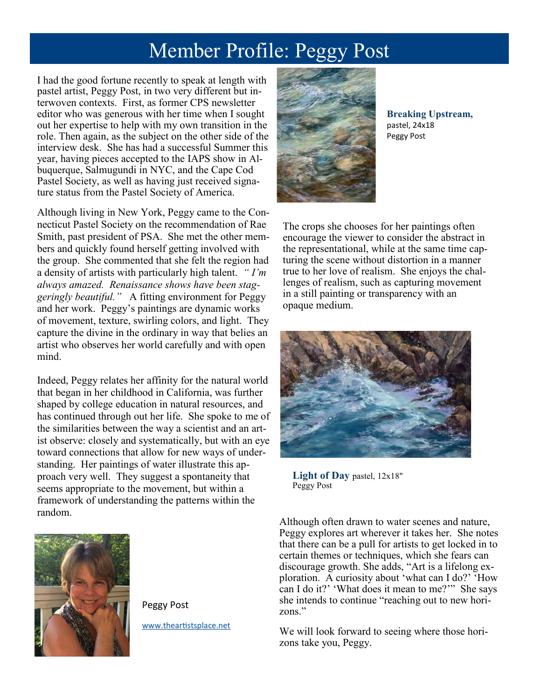# Member Profile: Peggy Post

I had the good fortune recently to speak at length with pastel artist, Peggy Post, in two very different but interwoven contexts. First, as former CPS newsletter editor who was generous with her time when I sought out her expertise to help with my own transition in the role. Then again, as the subject on the other side of the interview desk. She has had a successful Summer this year, having pieces accepted to the IAPS show in Albuquerque, Salmugundi in NYC, and the Cape Cod Pastel Society, as well as having just received signature status from the Pastel Society of America.

Although living in New York, Peggy came to the Connecticut Pastel Society on the recommendation of Rae Smith, past president of PSA. She met the other members and quickly found herself getting involved with the group. She commented that she felt the region had a density of artists with particularly high talent. *" I'm always amazed. Renaissance shows have been staggeringly beautiful."* A fitting environment for Peggy and her work. Peggy's paintings are dynamic works of movement, texture, swirling colors, and light. They capture the divine in the ordinary in way that belies an artist who observes her world carefully and with open mind.

Indeed, Peggy relates her affinity for the natural world that began in her childhood in California, was further shaped by college education in natural resources, and has continued through out her life. She spoke to me of the similarities between the way a scientist and an artist observe: closely and systematically, but with an eye toward connections that allow for new ways of understanding. Her paintings of water illustrate this approach very well. They suggest a spontaneity that seems appropriate to the movement, but within a framework of understanding the patterns within the random.



Peggy Post

[www.theartistsplace.net](theartistsplace.net)



**Breaking Upstream,** pastel, 24x18 Peggy Post

The crops she chooses for her paintings often encourage the viewer to consider the abstract in the representational, while at the same time capturing the scene without distortion in a manner true to her love of realism. She enjoys the challenges of realism, such as capturing movement in a still painting or transparency with an opaque medium.



**Light of Day** pastel, 12x18" Peggy Post

Although often drawn to water scenes and nature, Peggy explores art wherever it takes her. She notes that there can be a pull for artists to get locked in to certain themes or techniques, which she fears can discourage growth. She adds, "Art is a lifelong exploration. A curiosity about 'what can I do?' 'How can I do it?' 'What does it mean to me?'" She says she intends to continue "reaching out to new horizons."

We will look forward to seeing where those horizons take you, Peggy.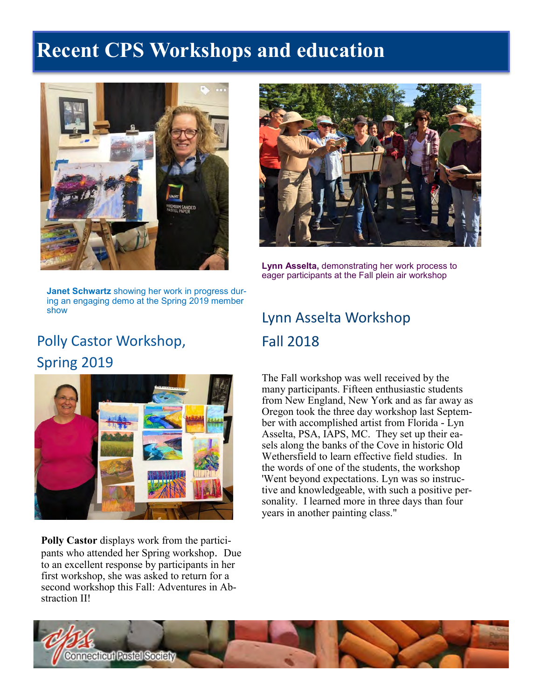# **Upcoming CPS Workshops for 2020 Recent CPS Workshops and education**



**Janet Schwartz** showing her work in progress during an engaging demo at the Spring 2019 member show

## Polly Castor Workshop, Spring 2019



**Polly Castor** displays work from the participants who attended her Spring workshop. Due to an excellent response by participants in her first workshop, she was asked to return for a second workshop this Fall: Adventures in Abstraction II!



**Lynn Asselta,** demonstrating her work process to eager participants at the Fall plein air workshop

# Lynn Asselta Workshop Fall 2018

The Fall workshop was well received by the many participants. Fifteen enthusiastic students from New England, New York and as far away as Oregon took the three day workshop last September with accomplished artist from Florida - Lyn Asselta, PSA, IAPS, MC. They set up their easels along the banks of the Cove in historic Old Wethersfield to learn effective field studies. In the words of one of the students, the workshop 'Went beyond expectations. Lyn was so instructive and knowledgeable, with such a positive personality. I learned more in three days than four years in another painting class."

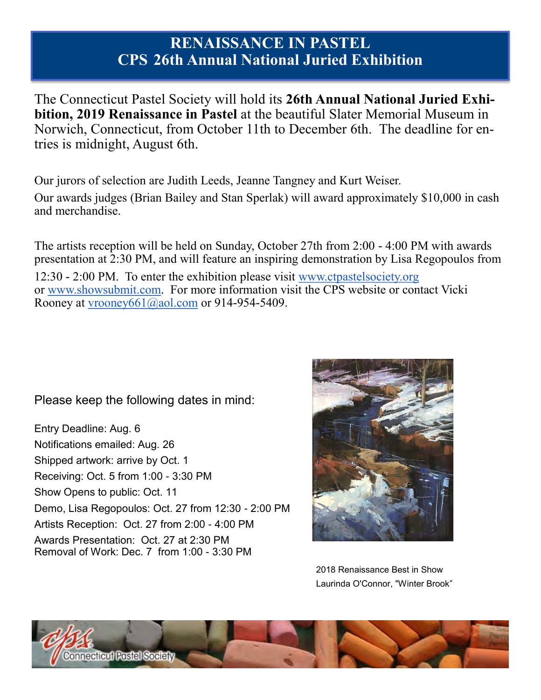## **RENAISSANCE IN PASTEL CPS 26th Annual National Juried Exhibition**

The Connecticut Pastel Society will hold its **26th Annual National Juried Exhibition, 2019 Renaissance in Pastel** at the beautiful Slater Memorial Museum in Norwich, Connecticut, from October 11th to December 6th. The deadline for entries is midnight, August 6th.

Our jurors of selection are Judith Leeds, Jeanne Tangney and Kurt Weiser.

Our awards judges (Brian Bailey and Stan Sperlak) will award approximately \$10,000 in cash and merchandise.

The artists reception will be held on Sunday, October 27th from 2:00 - 4:00 PM with awards presentation at 2:30 PM, and will feature an inspiring demonstration by Lisa Regopoulos from 12:30 - 2:00 PM. To enter the exhibition please visit [www.ctpastelsociety.org](http://www.ctpastelsociety.org/) or [www.showsubmit.com.](http://www.showsubmit.com/) For more information visit the CPS website or contact Vicki Rooney at vrooney $661\overline{a}$ aol.com or 914-954-5409.

Please keep the following dates in mind:

Entry Deadline: Aug. 6 Notifications emailed: Aug. 26 Shipped artwork: arrive by Oct. 1 Receiving: Oct. 5 from 1:00 - 3:30 PM Show Opens to public: Oct. 11 Demo, Lisa Regopoulos: Oct. 27 from 12:30 - 2:00 PM Artists Reception: Oct. 27 from 2:00 - 4:00 PM Awards Presentation: Oct. 27 at 2:30 PM Removal of Work: Dec. 7 from 1:00 - 3:30 PM



2018 Renaissance Best in Show Laurinda O'Connor, "Winter Brook"

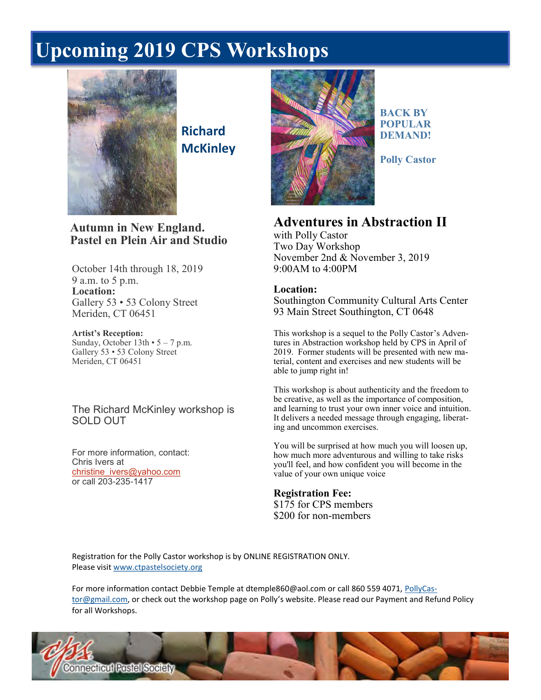# **Upcoming CPS Workshops for 2020 Upcoming 2019 CPS Workshops**



**Richard McKinley**

#### **Autumn in New England. Pastel en Plein Air and Studio**

October 14th through 18, 2019 9 a.m. to 5 p.m. **Location:** Gallery 53 • 53 Colony Street Meriden, CT 06451

**Artist's Reception:** Sunday, October  $13th \cdot 5 - 7$  p.m. Gallery 53 • 53 Colony Street Meriden, CT 06451

#### The Richard McKinley workshop is SOLD OUT

For more information, contact: Chris Ivers at [christine\\_ivers@yahoo.com](mailto:christine_ivers@yahoo.com) or call 203-235-1417



**BACK BY POPULAR DEMAND!**

**Polly Castor** 

## **Adventures in Abstraction II**

with Polly Castor Two Day Workshop November 2nd & November 3, 2019 9:00AM to 4:00PM

#### **Location:**

Southington Community Cultural Arts Center 93 Main Street Southington, CT 0648

This workshop is a sequel to the Polly Castor's Adventures in Abstraction workshop held by CPS in April of 2019. Former students will be presented with new material, content and exercises and new students will be able to jump right in!

This workshop is about authenticity and the freedom to be creative, as well as the importance of composition, and learning to trust your own inner voice and intuition. It delivers a needed message through engaging, liberating and uncommon exercises.

You will be surprised at how much you will loosen up, how much more adventurous and willing to take risks you'll feel, and how confident you will become in the value of your own unique voice

#### **Registration Fee:** \$175 for CPS members \$200 for non-members

Registration for the Polly Castor workshop is by ONLINE REGISTRATION ONLY. Please visit [www.ctpastelsociety.org](http://www.ctpastelsociety.org/)

For more information contact Debbie Temple at dtemple860@aol.com or call 860 559 4071, [PollyCas](mailto:PollyCastor@gmail.com)[tor@gmail.com,](mailto:PollyCastor@gmail.com) or check out the workshop page on Polly's website. Please read our Payment and Refund Policy for all Workshops.

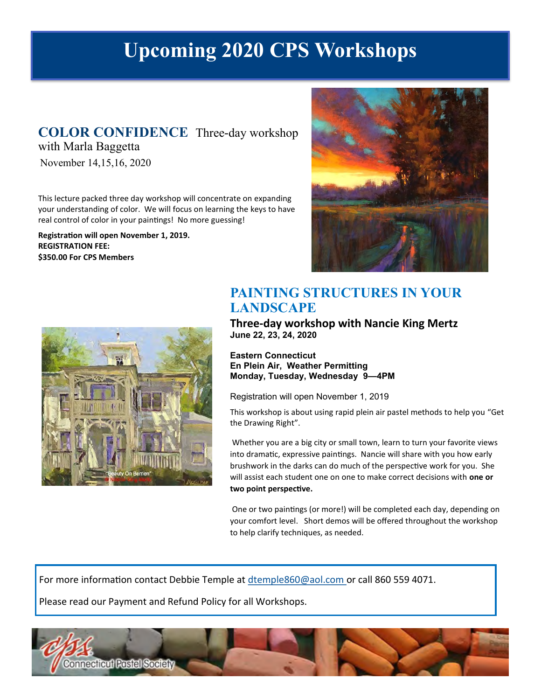# **Upcoming 2020 CPS Workshops**

#### **COLOR CONFIDENCE** Three-day workshop with Marla Baggetta

November 14,15,16, 2020

This lecture packed three day workshop will concentrate on expanding your understanding of color. We will focus on learning the keys to have real control of color in your paintings! No more guessing!

**Registration will open November 1, 2019. REGISTRATION FEE: \$350.00 For CPS Members** 





## **PAINTING STRUCTURES IN YOUR LANDSCAPE**

**Three-day workshop with Nancie King Mertz June 22, 23, 24, 2020** 

**Eastern Connecticut En Plein Air, Weather Permitting Monday, Tuesday, Wednesday 9—4PM** 

Registration will open November 1, 2019

This workshop is about using rapid plein air pastel methods to help you "Get the Drawing Right".

Whether you are a big city or small town, learn to turn your favorite views into dramatic, expressive paintings. Nancie will share with you how early brushwork in the darks can do much of the perspective work for you. She will assist each student one on one to make correct decisions with **one or two point perspective.**

One or two paintings (or more!) will be completed each day, depending on your comfort level. Short demos will be offered throughout the workshop to help clarify techniques, as needed.

For more information contact Debbie Temple at dtemple860@aol.com or call 860 559 4071.

Please read our Payment and Refund Policy for all Workshops.

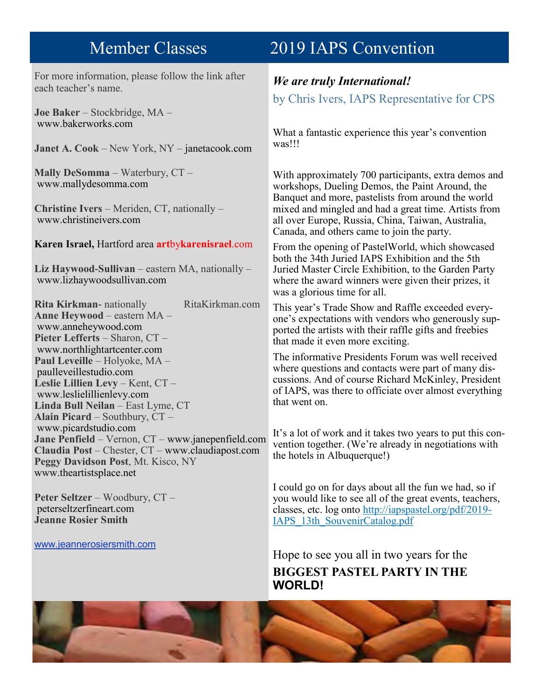For more information, please follow the link after each teacher's name.

**Joe Baker** – Stockbridge, MA – www.bakerworks.com

**Janet A. Cook** – New York, NY – janetacook.com

**Mally DeSomma** – Waterbury, CT – www.mallydesomma.com

**Christine Ivers** – Meriden, CT, nationally – www.christineivers.com

**Karen Israel,** Hartford area **art**by**karenisrael**.com

**Liz Haywood-Sullivan** – eastern MA, nationally – www.lizhaywoodsullivan.com

**Rita Kirkman-** nationally RitaKirkman.com **Anne Heywood** – eastern MA – www.anneheywood.com **Pieter Lefferts** – Sharon, CT – www.northlightartcenter.com **Paul Leveille** – Holyoke, MA – paulleveillestudio.com **Leslie Lillien Levy** – Kent, CT – www.leslielillienlevy.com **Linda Bull Neilan** – East Lyme, CT **Alain Picard** – Southbury, CT – www.picardstudio.com **Jane Penfield** – Vernon, CT – www.janepenfield.com **Claudia Post** – Chester, CT – www.claudiapost.com **Peggy Davidson Post**, Mt. Kisco, NY www.theartistsplace.net

**Peter Seltzer** – Woodbury, CT – peterseltzerfineart.com **Jeanne Rosier Smith**

www.jeannerosiersmith.com

## **Upcoming CPS Workshops for 2020** Member Classes 2019 IAPS Convention

## *We are truly International!*

by Chris Ivers, IAPS Representative for CPS

What a fantastic experience this year's convention was!!!

With approximately 700 participants, extra demos and workshops, Dueling Demos, the Paint Around, the Banquet and more, pastelists from around the world mixed and mingled and had a great time. Artists from all over Europe, Russia, China, Taiwan, Australia, Canada, and others came to join the party.

From the opening of PastelWorld, which showcased both the 34th Juried IAPS Exhibition and the 5th Juried Master Circle Exhibition, to the Garden Party where the award winners were given their prizes, it was a glorious time for all.

This year's Trade Show and Raffle exceeded everyone's expectations with vendors who generously supported the artists with their raffle gifts and freebies that made it even more exciting.

The informative Presidents Forum was well received where questions and contacts were part of many discussions. And of course Richard McKinley, President of IAPS, was there to officiate over almost everything that went on.

It's a lot of work and it takes two years to put this convention together. (We're already in negotiations with the hotels in Albuquerque!)

I could go on for days about all the fun we had, so if you would like to see all of the great events, teachers, classes, etc. log onto [http://iapspastel.org/pdf/2019](http://iapspastel.org/pdf/2019-IAPS_13th_SouvenirCatalog.pdf)- [IAPS\\_13th\\_SouvenirCatalog.pdf](http://iapspastel.org/pdf/2019-IAPS_13th_SouvenirCatalog.pdf)

Hope to see you all in two years for the **BIGGEST PASTEL PARTY IN THE WORLD!**